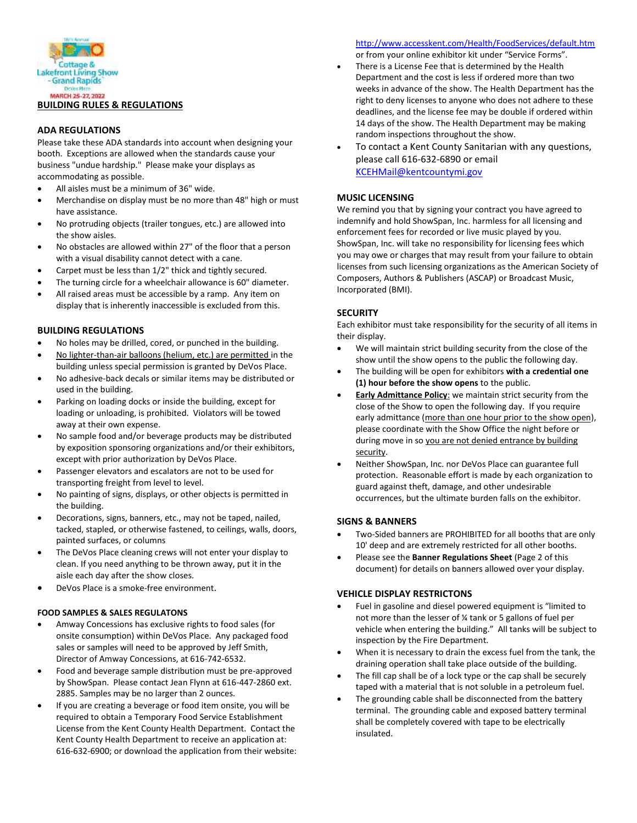

# **BUILDING RULES & REGULATIONS**

### **ADA REGULATIONS**

Please take these ADA standards into account when designing your booth. Exceptions are allowed when the standards cause your business "undue hardship." Please make your displays as accommodating as possible.

- All aisles must be a minimum of 36" wide.
- Merchandise on display must be no more than 48" high or must have assistance.
- No protruding objects (trailer tongues, etc.) are allowed into the show aisles.
- No obstacles are allowed within 27" of the floor that a person with a visual disability cannot detect with a cane.
- Carpet must be less than 1/2" thick and tightly secured.
- The turning circle for a wheelchair allowance is 60" diameter.
- All raised areas must be accessible by a ramp. Any item on display that is inherently inaccessible is excluded from this.

## **BUILDING REGULATIONS**

- No holes may be drilled, cored, or punched in the building.
- No lighter-than-air balloons (helium, etc.) are permitted in the building unless special permission is granted by DeVos Place.
- No adhesive-back decals or similar items may be distributed or used in the building.
- Parking on loading docks or inside the building, except for loading or unloading, is prohibited. Violators will be towed away at their own expense.
- No sample food and/or beverage products may be distributed by exposition sponsoring organizations and/or their exhibitors, except with prior authorization by DeVos Place.
- Passenger elevators and escalators are not to be used for transporting freight from level to level.
- No painting of signs, displays, or other objects is permitted in the building.
- Decorations, signs, banners, etc., may not be taped, nailed, tacked, stapled, or otherwise fastened, to ceilings, walls, doors, painted surfaces, or columns
- The DeVos Place cleaning crews will not enter your display to clean. If you need anything to be thrown away, put it in the aisle each day after the show closes.
- DeVos Place is a smoke-free environment.

### **FOOD SAMPLES & SALES REGULATONS**

- Amway Concessions has exclusive rights to food sales (for onsite consumption) within DeVos Place. Any packaged food sales or samples will need to be approved by Jeff Smith, Director of Amway Concessions, at 616-742-6532.
- Food and beverage sample distribution must be pre-approved by ShowSpan. Please contact Jean Flynn at 616-447-2860 ext. 2885. Samples may be no larger than 2 ounces.
- If you are creating a beverage or food item onsite, you will be required to obtain a Temporary Food Service Establishment License from the Kent County Health Department. Contact the Kent County Health Department to receive an application at: 616-632-6900; or download the application from their website:

<http://www.accesskent.com/Health/FoodServices/default.htm>

- or from your online exhibitor kit under "Service Forms".
- There is a License Fee that is determined by the Health Department and the cost is less if ordered more than two weeks in advance of the show. The Health Department has the right to deny licenses to anyone who does not adhere to these deadlines, and the license fee may be double if ordered within 14 days of the show. The Health Department may be making random inspections throughout the show.
- To contact a Kent County Sanitarian with any questions, please call 616-632-6890 or email [KCEHMail@kentcountymi.gov](mailto:KCEHMail@kentcountymi.gov)

### **MUSIC LICENSING**

We remind you that by signing your contract you have agreed to indemnify and hold ShowSpan, Inc. harmless for all licensing and enforcement fees for recorded or live music played by you. ShowSpan, Inc. will take no responsibility for licensing fees which you may owe or charges that may result from your failure to obtain licenses from such licensing organizations as the American Society of Composers, Authors & Publishers (ASCAP) or Broadcast Music, Incorporated (BMI).

## **SECURITY**

Each exhibitor must take responsibility for the security of all items in their display.

- We will maintain strict building security from the close of the show until the show opens to the public the following day.
- The building will be open for exhibitors **with a credential one (1) hour before the show opens** to the public.
- **Early Admittance Policy**: we maintain strict security from the close of the Show to open the following day. If you require early admittance (more than one hour prior to the show open), please coordinate with the Show Office the night before or during move in so you are not denied entrance by building security.
- Neither ShowSpan, Inc. nor DeVos Place can guarantee full protection. Reasonable effort is made by each organization to guard against theft, damage, and other undesirable occurrences, but the ultimate burden falls on the exhibitor.

### **SIGNS & BANNERS**

- Two-Sided banners are PROHIBITED for all booths that are only 10' deep and are extremely restricted for all other booths.
- Please see the **Banner Regulations Sheet** (Page 2 of this document) for details on banners allowed over your display.

### **VEHICLE DISPLAY RESTRICTONS**

- Fuel in gasoline and diesel powered equipment is "limited to not more than the lesser of ¼ tank or 5 gallons of fuel per vehicle when entering the building." All tanks will be subject to inspection by the Fire Department.
- When it is necessary to drain the excess fuel from the tank, the draining operation shall take place outside of the building.
- The fill cap shall be of a lock type or the cap shall be securely taped with a material that is not soluble in a petroleum fuel.
- The grounding cable shall be disconnected from the battery terminal. The grounding cable and exposed battery terminal shall be completely covered with tape to be electrically insulated.